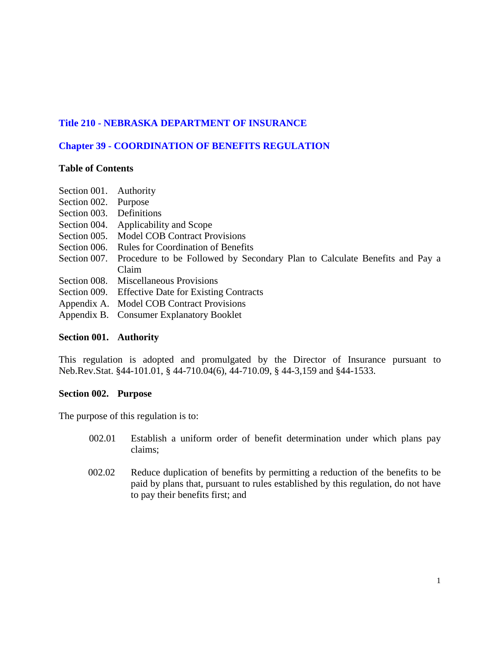# **Title 210 - NEBRASKA DEPARTMENT OF INSURANCE**

# **Chapter 39 - COORDINATION OF BENEFITS REGULATION**

## **Table of Contents**

- Section 001. Authority
- Section 002. Purpose
- Section 003. Definitions
- Section 004. Applicability and Scope
- Section 005. Model COB Contract Provisions
- Section 006. Rules for Coordination of Benefits
- Section 007. Procedure to be Followed by Secondary Plan to Calculate Benefits and Pay a Claim
- Section 008. Miscellaneous Provisions
- Section 009. Effective Date for Existing Contracts
- Appendix A. Model COB Contract Provisions
- Appendix B. Consumer Explanatory Booklet

## **Section 001. Authority**

This regulation is adopted and promulgated by the Director of Insurance pursuant to Neb.Rev.Stat. §44-101.01, § 44-710.04(6), 44-710.09, § 44-3,159 and §44-1533.

## **Section 002. Purpose**

The purpose of this regulation is to:

- 002.01 Establish a uniform order of benefit determination under which plans pay claims;
- 002.02 Reduce duplication of benefits by permitting a reduction of the benefits to be paid by plans that, pursuant to rules established by this regulation, do not have to pay their benefits first; and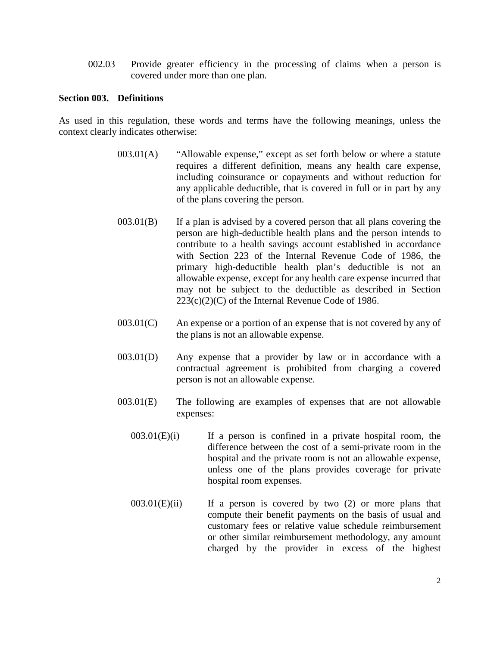002.03 Provide greater efficiency in the processing of claims when a person is covered under more than one plan.

#### **Section 003. Definitions**

As used in this regulation, these words and terms have the following meanings, unless the context clearly indicates otherwise:

- 003.01(A) "Allowable expense," except as set forth below or where a statute requires a different definition, means any health care expense, including coinsurance or copayments and without reduction for any applicable deductible, that is covered in full or in part by any of the plans covering the person.
- $003.01(B)$  If a plan is advised by a covered person that all plans covering the person are high-deductible health plans and the person intends to contribute to a health savings account established in accordance with Section 223 of the Internal Revenue Code of 1986, the primary high-deductible health plan's deductible is not an allowable expense, except for any health care expense incurred that may not be subject to the deductible as described in Section  $223(c)(2)(C)$  of the Internal Revenue Code of 1986.
- $003.01(C)$  An expense or a portion of an expense that is not covered by any of the plans is not an allowable expense.
- 003.01(D) Any expense that a provider by law or in accordance with a contractual agreement is prohibited from charging a covered person is not an allowable expense.
- 003.01(E) The following are examples of expenses that are not allowable expenses:
	- $003.01(E)(i)$  If a person is confined in a private hospital room, the difference between the cost of a semi-private room in the hospital and the private room is not an allowable expense, unless one of the plans provides coverage for private hospital room expenses.
	- $003.01(E)(ii)$  If a person is covered by two (2) or more plans that compute their benefit payments on the basis of usual and customary fees or relative value schedule reimbursement or other similar reimbursement methodology, any amount charged by the provider in excess of the highest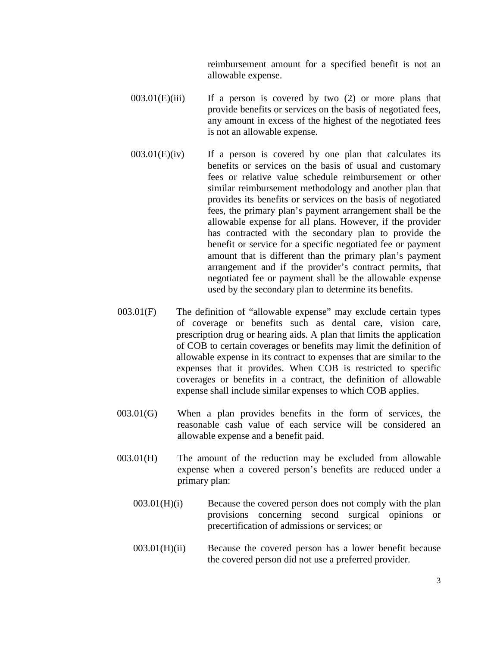reimbursement amount for a specified benefit is not an allowable expense.

- $003.01(E)(iii)$  If a person is covered by two  $(2)$  or more plans that provide benefits or services on the basis of negotiated fees, any amount in excess of the highest of the negotiated fees is not an allowable expense.
- $003.01(E)(iv)$  If a person is covered by one plan that calculates its benefits or services on the basis of usual and customary fees or relative value schedule reimbursement or other similar reimbursement methodology and another plan that provides its benefits or services on the basis of negotiated fees, the primary plan's payment arrangement shall be the allowable expense for all plans. However, if the provider has contracted with the secondary plan to provide the benefit or service for a specific negotiated fee or payment amount that is different than the primary plan's payment arrangement and if the provider's contract permits, that negotiated fee or payment shall be the allowable expense used by the secondary plan to determine its benefits.
- 003.01(F) The definition of "allowable expense" may exclude certain types of coverage or benefits such as dental care, vision care, prescription drug or hearing aids. A plan that limits the application of COB to certain coverages or benefits may limit the definition of allowable expense in its contract to expenses that are similar to the expenses that it provides. When COB is restricted to specific coverages or benefits in a contract, the definition of allowable expense shall include similar expenses to which COB applies.
- 003.01(G) When a plan provides benefits in the form of services, the reasonable cash value of each service will be considered an allowable expense and a benefit paid.
- 003.01(H) The amount of the reduction may be excluded from allowable expense when a covered person's benefits are reduced under a primary plan:
	- $003.01(H)(i)$  Because the covered person does not comply with the plan provisions concerning second surgical opinions or precertification of admissions or services; or
	- 003.01(H)(ii) Because the covered person has a lower benefit because the covered person did not use a preferred provider.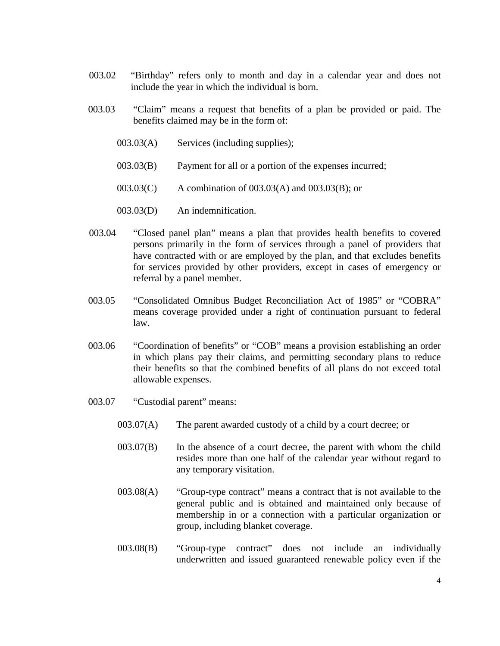- 003.02 "Birthday" refers only to month and day in a calendar year and does not include the year in which the individual is born.
- 003.03 "Claim" means a request that benefits of a plan be provided or paid. The benefits claimed may be in the form of:
	- 003.03(A) Services (including supplies);
	- 003.03(B) Payment for all or a portion of the expenses incurred;
	- 003.03(C) A combination of 003.03(A) and 003.03(B); or
	- 003.03(D) An indemnification.
- 003.04 "Closed panel plan" means a plan that provides health benefits to covered persons primarily in the form of services through a panel of providers that have contracted with or are employed by the plan, and that excludes benefits for services provided by other providers, except in cases of emergency or referral by a panel member.
- 003.05 "Consolidated Omnibus Budget Reconciliation Act of 1985" or "COBRA" means coverage provided under a right of continuation pursuant to federal law.
- 003.06 "Coordination of benefits" or "COB" means a provision establishing an order in which plans pay their claims, and permitting secondary plans to reduce their benefits so that the combined benefits of all plans do not exceed total allowable expenses.
- 003.07 "Custodial parent" means:
	- 003.07(A) The parent awarded custody of a child by a court decree; or
	- 003.07(B) In the absence of a court decree, the parent with whom the child resides more than one half of the calendar year without regard to any temporary visitation.
	- 003.08(A) "Group-type contract" means a contract that is not available to the general public and is obtained and maintained only because of membership in or a connection with a particular organization or group, including blanket coverage.
	- 003.08(B) "Group-type contract" does not include an individually underwritten and issued guaranteed renewable policy even if the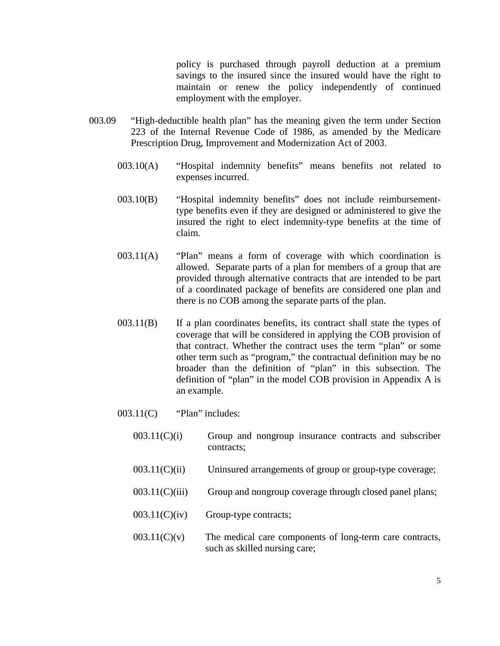policy is purchased through payroll deduction at a premium savings to the insured since the insured would have the right to maintain or renew the policy independently of continued employment with the employer.

- 003.09 "High-deductible health plan" has the meaning given the term under Section 223 of the Internal Revenue Code of 1986, as amended by the Medicare Prescription Drug, Improvement and Modernization Act of 2003.
	- 003.10(A) "Hospital indemnity benefits" means benefits not related to expenses incurred.
	- 003.10(B) "Hospital indemnity benefits" does not include reimbursementtype benefits even if they are designed or administered to give the insured the right to elect indemnity-type benefits at the time of claim.
	- 003.11(A) "Plan" means a form of coverage with which coordination is allowed. Separate parts of a plan for members of a group that are provided through alternative contracts that are intended to be part of a coordinated package of benefits are considered one plan and there is no COB among the separate parts of the plan.
	- 003.11(B) If a plan coordinates benefits, its contract shall state the types of coverage that will be considered in applying the COB provision of that contract. Whether the contract uses the term "plan" or some other term such as "program," the contractual definition may be no broader than the definition of "plan" in this subsection. The definition of "plan" in the model COB provision in Appendix A is an example.
	- $003.11(C)$  "Plan" includes:
		- $003.11(C)(i)$  Group and nongroup insurance contracts and subscriber contracts;
		- 003.11(C)(ii) Uninsured arrangements of group or group-type coverage;
		- $003.11(C)(iii)$  Group and nongroup coverage through closed panel plans;
		- $003.11(C)(iv)$  Group-type contracts;
		- $003.11(C)(v)$  The medical care components of long-term care contracts, such as skilled nursing care;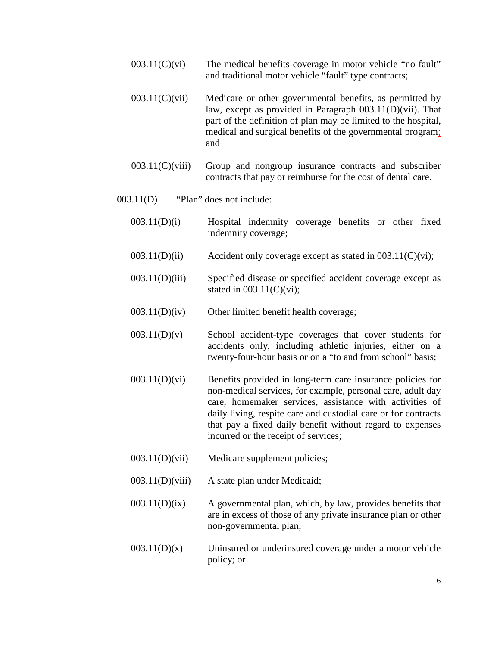- $003.11(C)(vi)$  The medical benefits coverage in motor vehicle "no fault" and traditional motor vehicle "fault" type contracts;
- $003.11(C)(vii)$  Medicare or other governmental benefits, as permitted by law, except as provided in Paragraph 003.11(D)(vii). That part of the definition of plan may be limited to the hospital, medical and surgical benefits of the governmental program; and
- 003.11(C)(viii) Group and nongroup insurance contracts and subscriber contracts that pay or reimburse for the cost of dental care.
- 003.11(D) "Plan" does not include:
	- 003.11(D)(i) Hospital indemnity coverage benefits or other fixed indemnity coverage;
	- 003.11(D)(ii) Accident only coverage except as stated in 003.11(C)(vi);
	- 003.11(D)(iii) Specified disease or specified accident coverage except as stated in  $003.11(C)(vi)$ ;
	- 003.11(D)(iv) Other limited benefit health coverage;
	- $003.11(D)(v)$  School accident-type coverages that cover students for accidents only, including athletic injuries, either on a twenty-four-hour basis or on a "to and from school" basis;
	- 003.11(D)(vi) Benefits provided in long-term care insurance policies for non-medical services, for example, personal care, adult day care, homemaker services, assistance with activities of daily living, respite care and custodial care or for contracts that pay a fixed daily benefit without regard to expenses incurred or the receipt of services;
	- 003.11(D)(vii) Medicare supplement policies;
	- 003.11(D)(viii) A state plan under Medicaid;
	- $003.11(D)(ix)$  A governmental plan, which, by law, provides benefits that are in excess of those of any private insurance plan or other non-governmental plan;
	- $003.11(D)(x)$  Uninsured or underinsured coverage under a motor vehicle policy; or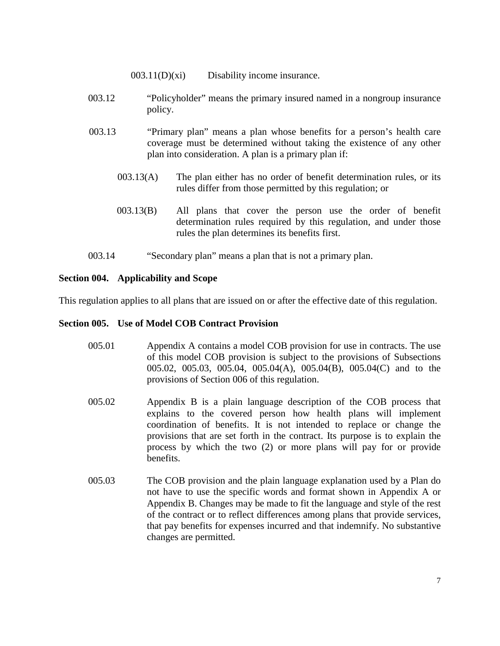- 003.11(D)(xi) Disability income insurance.
- 003.12 "Policyholder" means the primary insured named in a nongroup insurance policy.
- 003.13 "Primary plan" means a plan whose benefits for a person's health care coverage must be determined without taking the existence of any other plan into consideration. A plan is a primary plan if:
	- 003.13(A) The plan either has no order of benefit determination rules, or its rules differ from those permitted by this regulation; or
	- 003.13(B) All plans that cover the person use the order of benefit determination rules required by this regulation, and under those rules the plan determines its benefits first.
- 003.14 "Secondary plan" means a plan that is not a primary plan.

## **Section 004. Applicability and Scope**

This regulation applies to all plans that are issued on or after the effective date of this regulation.

#### **Section 005. Use of Model COB Contract Provision**

- 005.01 Appendix A contains a model COB provision for use in contracts. The use of this model COB provision is subject to the provisions of Subsections 005.02, 005.03, 005.04, 005.04(A), 005.04(B), 005.04(C) and to the provisions of Section 006 of this regulation.
- 005.02 Appendix B is a plain language description of the COB process that explains to the covered person how health plans will implement coordination of benefits. It is not intended to replace or change the provisions that are set forth in the contract. Its purpose is to explain the process by which the two (2) or more plans will pay for or provide benefits.
- 005.03 The COB provision and the plain language explanation used by a Plan do not have to use the specific words and format shown in Appendix A or Appendix B. Changes may be made to fit the language and style of the rest of the contract or to reflect differences among plans that provide services, that pay benefits for expenses incurred and that indemnify. No substantive changes are permitted.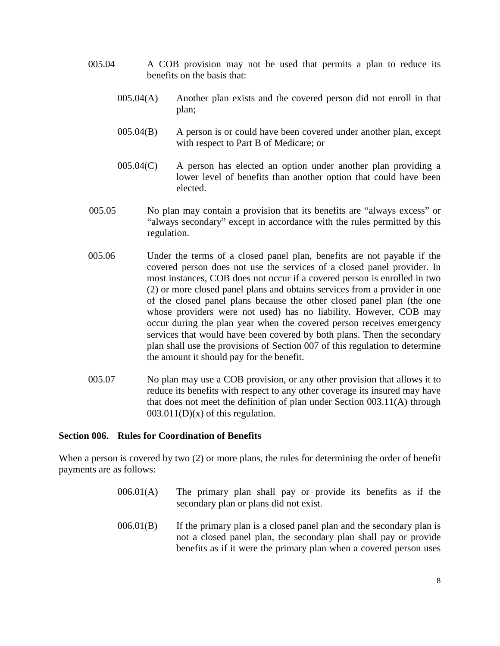- 005.04 A COB provision may not be used that permits a plan to reduce its benefits on the basis that:
	- 005.04(A) Another plan exists and the covered person did not enroll in that plan;
	- 005.04(B) A person is or could have been covered under another plan, except with respect to Part B of Medicare; or
	- 005.04(C) A person has elected an option under another plan providing a lower level of benefits than another option that could have been elected.
- 005.05 No plan may contain a provision that its benefits are "always excess" or "always secondary" except in accordance with the rules permitted by this regulation.
- 005.06 Under the terms of a closed panel plan, benefits are not payable if the covered person does not use the services of a closed panel provider. In most instances, COB does not occur if a covered person is enrolled in two (2) or more closed panel plans and obtains services from a provider in one of the closed panel plans because the other closed panel plan (the one whose providers were not used) has no liability. However, COB may occur during the plan year when the covered person receives emergency services that would have been covered by both plans. Then the secondary plan shall use the provisions of Section 007 of this regulation to determine the amount it should pay for the benefit.
- 005.07 No plan may use a COB provision, or any other provision that allows it to reduce its benefits with respect to any other coverage its insured may have that does not meet the definition of plan under Section 003.11(A) through  $003.011(D)(x)$  of this regulation.

## **Section 006. Rules for Coordination of Benefits**

When a person is covered by two (2) or more plans, the rules for determining the order of benefit payments are as follows:

- 006.01(A) The primary plan shall pay or provide its benefits as if the secondary plan or plans did not exist.
- $006.01(B)$  If the primary plan is a closed panel plan and the secondary plan is not a closed panel plan, the secondary plan shall pay or provide benefits as if it were the primary plan when a covered person uses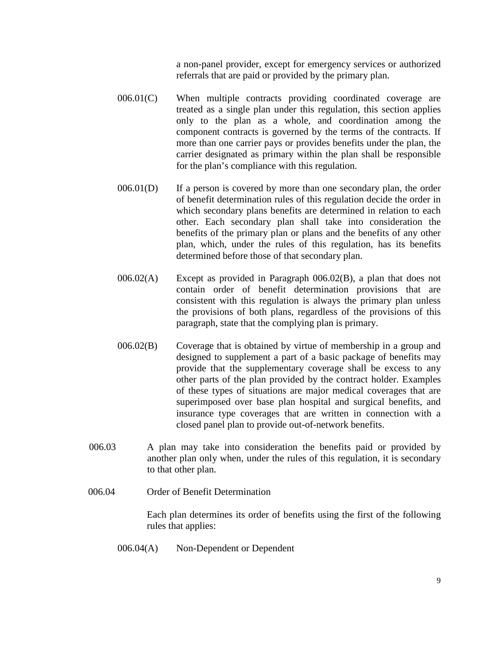a non-panel provider, except for emergency services or authorized referrals that are paid or provided by the primary plan.

- 006.01(C) When multiple contracts providing coordinated coverage are treated as a single plan under this regulation, this section applies only to the plan as a whole, and coordination among the component contracts is governed by the terms of the contracts. If more than one carrier pays or provides benefits under the plan, the carrier designated as primary within the plan shall be responsible for the plan's compliance with this regulation.
- 006.01(D) If a person is covered by more than one secondary plan, the order of benefit determination rules of this regulation decide the order in which secondary plans benefits are determined in relation to each other. Each secondary plan shall take into consideration the benefits of the primary plan or plans and the benefits of any other plan, which, under the rules of this regulation, has its benefits determined before those of that secondary plan.
- 006.02(A) Except as provided in Paragraph 006.02(B), a plan that does not contain order of benefit determination provisions that are consistent with this regulation is always the primary plan unless the provisions of both plans, regardless of the provisions of this paragraph, state that the complying plan is primary.
- 006.02(B) Coverage that is obtained by virtue of membership in a group and designed to supplement a part of a basic package of benefits may provide that the supplementary coverage shall be excess to any other parts of the plan provided by the contract holder. Examples of these types of situations are major medical coverages that are superimposed over base plan hospital and surgical benefits, and insurance type coverages that are written in connection with a closed panel plan to provide out-of-network benefits.
- 006.03 A plan may take into consideration the benefits paid or provided by another plan only when, under the rules of this regulation, it is secondary to that other plan.
- 006.04 Order of Benefit Determination

Each plan determines its order of benefits using the first of the following rules that applies:

006.04(A) Non-Dependent or Dependent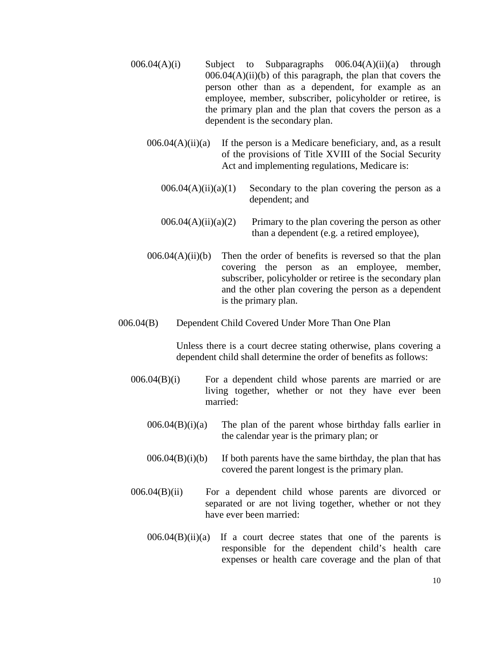- $006.04(A)(i)$  Subject to Subparagraphs  $006.04(A)(ii)(a)$  through  $006.04(A)(ii)(b)$  of this paragraph, the plan that covers the person other than as a dependent, for example as an employee, member, subscriber, policyholder or retiree, is the primary plan and the plan that covers the person as a dependent is the secondary plan.
	- $006.04(A)(ii)(a)$  If the person is a Medicare beneficiary, and, as a result of the provisions of Title XVIII of the Social Security Act and implementing regulations, Medicare is:
		- $006.04(A)(ii)(a)(1)$  Secondary to the plan covering the person as a dependent; and
		- $006.04(A)(ii)(a)(2)$  Primary to the plan covering the person as other than a dependent (e.g. a retired employee),
	- $006.04(A)(ii)(b)$  Then the order of benefits is reversed so that the plan covering the person as an employee, member, subscriber, policyholder or retiree is the secondary plan and the other plan covering the person as a dependent is the primary plan.
- 006.04(B) Dependent Child Covered Under More Than One Plan

 Unless there is a court decree stating otherwise, plans covering a dependent child shall determine the order of benefits as follows:

- 006.04(B)(i) For a dependent child whose parents are married or are living together, whether or not they have ever been married:
	- $006.04(B)(i)(a)$  The plan of the parent whose birthday falls earlier in the calendar year is the primary plan; or
	- $006.04(B)(i)$  If both parents have the same birthday, the plan that has covered the parent longest is the primary plan.
- 006.04(B)(ii) For a dependent child whose parents are divorced or separated or are not living together, whether or not they have ever been married:
	- $006.04(B)(ii)(a)$  If a court decree states that one of the parents is responsible for the dependent child's health care expenses or health care coverage and the plan of that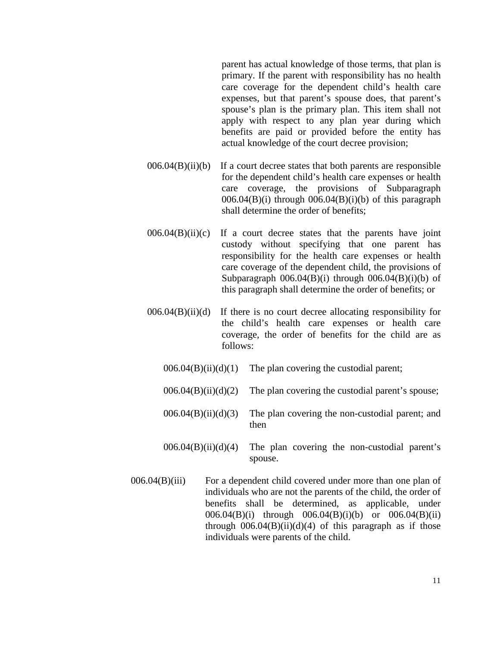parent has actual knowledge of those terms, that plan is primary. If the parent with responsibility has no health care coverage for the dependent child's health care expenses, but that parent's spouse does, that parent's spouse's plan is the primary plan. This item shall not apply with respect to any plan year during which benefits are paid or provided before the entity has actual knowledge of the court decree provision;

- $006.04(B)(ii)(b)$  If a court decree states that both parents are responsible for the dependent child's health care expenses or health care coverage, the provisions of Subparagraph  $006.04(B)(i)$  through  $006.04(B)(i)(b)$  of this paragraph shall determine the order of benefits;
- $006.04(B)(ii)(c)$  If a court decree states that the parents have joint custody without specifying that one parent has responsibility for the health care expenses or health care coverage of the dependent child, the provisions of Subparagraph  $006.04(B)(i)$  through  $006.04(B)(i)(b)$  of this paragraph shall determine the order of benefits; or
- $006.04(B)(ii)(d)$  If there is no court decree allocating responsibility for the child's health care expenses or health care coverage, the order of benefits for the child are as follows:
	- $006.04(B)(ii)(d)(1)$  The plan covering the custodial parent;
	- $006.04(B)(ii)(d)(2)$  The plan covering the custodial parent's spouse;
	- $006.04(B)(ii)(d)(3)$  The plan covering the non-custodial parent; and then
	- $006.04(B)(ii)(d)(4)$  The plan covering the non-custodial parent's spouse.
- 006.04(B)(iii) For a dependent child covered under more than one plan of individuals who are not the parents of the child, the order of benefits shall be determined, as applicable, under 006.04(B)(i) through 006.04(B)(i)(b) or 006.04(B)(ii) through  $006.04(B)(ii)(d)(4)$  of this paragraph as if those individuals were parents of the child.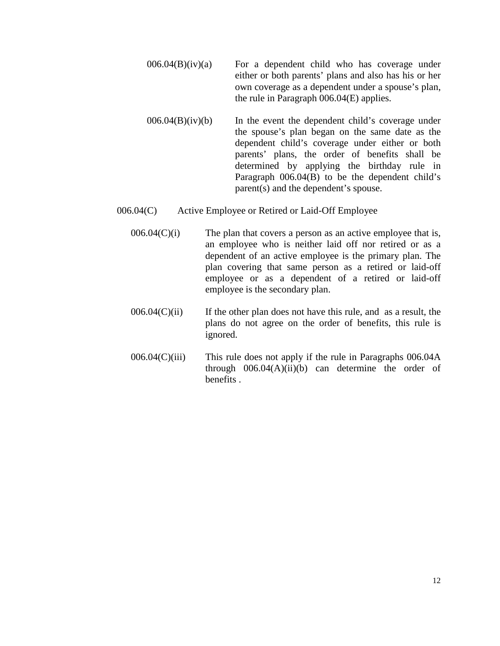- $006.04(B)(iv)(a)$  For a dependent child who has coverage under either or both parents' plans and also has his or her own coverage as a dependent under a spouse's plan, the rule in Paragraph 006.04(E) applies.
- $006.04(B)(iv)(b)$  In the event the dependent child's coverage under the spouse's plan began on the same date as the dependent child's coverage under either or both parents' plans, the order of benefits shall be determined by applying the birthday rule in Paragraph 006.04(B) to be the dependent child's parent(s) and the dependent's spouse.
- 006.04(C) Active Employee or Retired or Laid-Off Employee
	- $006.04(C)(i)$  The plan that covers a person as an active employee that is, an employee who is neither laid off nor retired or as a dependent of an active employee is the primary plan. The plan covering that same person as a retired or laid-off employee or as a dependent of a retired or laid-off employee is the secondary plan.
	- $006.04(C)(ii)$  If the other plan does not have this rule, and as a result, the plans do not agree on the order of benefits, this rule is ignored.
	- 006.04(C)(iii) This rule does not apply if the rule in Paragraphs 006.04A through  $006.04(A)(ii)(b)$  can determine the order of benefits .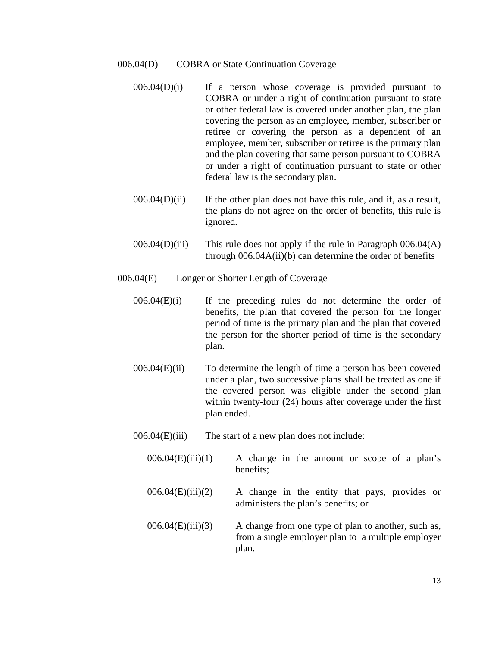- 006.04(D) COBRA or State Continuation Coverage
	- $006.04(D)(i)$  If a person whose coverage is provided pursuant to COBRA or under a right of continuation pursuant to state or other federal law is covered under another plan, the plan covering the person as an employee, member, subscriber or retiree or covering the person as a dependent of an employee, member, subscriber or retiree is the primary plan and the plan covering that same person pursuant to COBRA or under a right of continuation pursuant to state or other federal law is the secondary plan.
	- $006.04(D)(ii)$  If the other plan does not have this rule, and if, as a result, the plans do not agree on the order of benefits, this rule is ignored.
	- $006.04(D)(iii)$  This rule does not apply if the rule in Paragraph  $006.04(A)$ through 006.04A(ii)(b) can determine the order of benefits
- 006.04(E) Longer or Shorter Length of Coverage
	- 006.04(E)(i) If the preceding rules do not determine the order of benefits, the plan that covered the person for the longer period of time is the primary plan and the plan that covered the person for the shorter period of time is the secondary plan.
	- $006.04(E)(ii)$  To determine the length of time a person has been covered under a plan, two successive plans shall be treated as one if the covered person was eligible under the second plan within twenty-four (24) hours after coverage under the first plan ended.
	- 006.04(E)(iii) The start of a new plan does not include:
		- $006.04(E)(iii)(1)$  A change in the amount or scope of a plan's benefits;
		- 006.04(E)(iii)(2) A change in the entity that pays, provides or administers the plan's benefits; or
		- $006.04(E)(iii)(3)$  A change from one type of plan to another, such as, from a single employer plan to a multiple employer plan.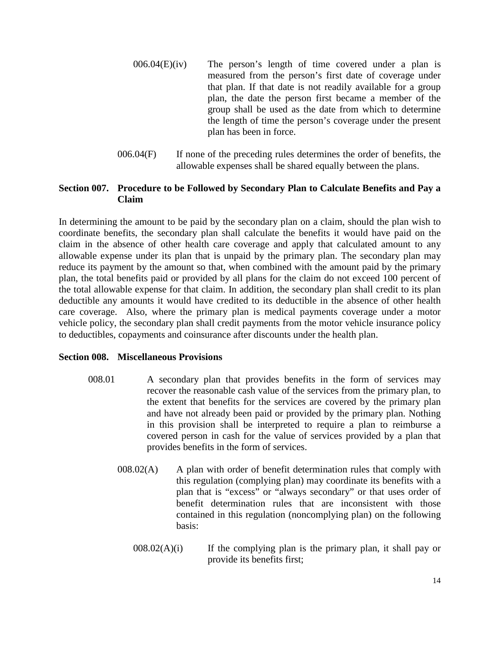- $006.04(E)(iv)$  The person's length of time covered under a plan is measured from the person's first date of coverage under that plan. If that date is not readily available for a group plan, the date the person first became a member of the group shall be used as the date from which to determine the length of time the person's coverage under the present plan has been in force.
- 006.04(F) If none of the preceding rules determines the order of benefits, the allowable expenses shall be shared equally between the plans.

# **Section 007. Procedure to be Followed by Secondary Plan to Calculate Benefits and Pay a Claim**

In determining the amount to be paid by the secondary plan on a claim, should the plan wish to coordinate benefits, the secondary plan shall calculate the benefits it would have paid on the claim in the absence of other health care coverage and apply that calculated amount to any allowable expense under its plan that is unpaid by the primary plan. The secondary plan may reduce its payment by the amount so that, when combined with the amount paid by the primary plan, the total benefits paid or provided by all plans for the claim do not exceed 100 percent of the total allowable expense for that claim. In addition, the secondary plan shall credit to its plan deductible any amounts it would have credited to its deductible in the absence of other health care coverage. Also, where the primary plan is medical payments coverage under a motor vehicle policy, the secondary plan shall credit payments from the motor vehicle insurance policy to deductibles, copayments and coinsurance after discounts under the health plan.

## **Section 008. Miscellaneous Provisions**

- 008.01 A secondary plan that provides benefits in the form of services may recover the reasonable cash value of the services from the primary plan, to the extent that benefits for the services are covered by the primary plan and have not already been paid or provided by the primary plan. Nothing in this provision shall be interpreted to require a plan to reimburse a covered person in cash for the value of services provided by a plan that provides benefits in the form of services.
	- 008.02(A) A plan with order of benefit determination rules that comply with this regulation (complying plan) may coordinate its benefits with a plan that is "excess" or "always secondary" or that uses order of benefit determination rules that are inconsistent with those contained in this regulation (noncomplying plan) on the following basis:
		- $008.02(A)(i)$  If the complying plan is the primary plan, it shall pay or provide its benefits first;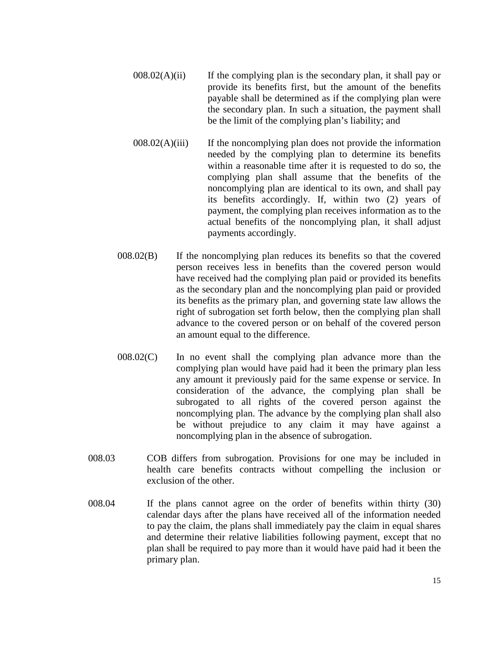- $008.02(A)(ii)$  If the complying plan is the secondary plan, it shall pay or provide its benefits first, but the amount of the benefits payable shall be determined as if the complying plan were the secondary plan. In such a situation, the payment shall be the limit of the complying plan's liability; and
- $008.02(A)(iii)$  If the noncomplying plan does not provide the information needed by the complying plan to determine its benefits within a reasonable time after it is requested to do so, the complying plan shall assume that the benefits of the noncomplying plan are identical to its own, and shall pay its benefits accordingly. If, within two (2) years of payment, the complying plan receives information as to the actual benefits of the noncomplying plan, it shall adjust payments accordingly.
- 008.02(B) If the noncomplying plan reduces its benefits so that the covered person receives less in benefits than the covered person would have received had the complying plan paid or provided its benefits as the secondary plan and the noncomplying plan paid or provided its benefits as the primary plan, and governing state law allows the right of subrogation set forth below, then the complying plan shall advance to the covered person or on behalf of the covered person an amount equal to the difference.
- 008.02(C) In no event shall the complying plan advance more than the complying plan would have paid had it been the primary plan less any amount it previously paid for the same expense or service. In consideration of the advance, the complying plan shall be subrogated to all rights of the covered person against the noncomplying plan. The advance by the complying plan shall also be without prejudice to any claim it may have against a noncomplying plan in the absence of subrogation.
- 008.03 COB differs from subrogation. Provisions for one may be included in health care benefits contracts without compelling the inclusion or exclusion of the other.
- 008.04 If the plans cannot agree on the order of benefits within thirty (30) calendar days after the plans have received all of the information needed to pay the claim, the plans shall immediately pay the claim in equal shares and determine their relative liabilities following payment, except that no plan shall be required to pay more than it would have paid had it been the primary plan.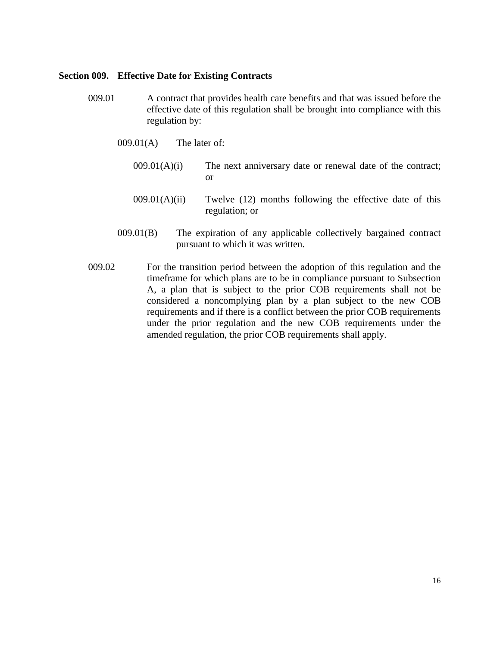#### **Section 009. Effective Date for Existing Contracts**

- 009.01 A contract that provides health care benefits and that was issued before the effective date of this regulation shall be brought into compliance with this regulation by:
	- 009.01(A) The later of:
		- $009.01(A)(i)$  The next anniversary date or renewal date of the contract; or
		- $009.01(A)(ii)$  Twelve (12) months following the effective date of this regulation; or
	- 009.01(B) The expiration of any applicable collectively bargained contract pursuant to which it was written.
- 009.02 For the transition period between the adoption of this regulation and the timeframe for which plans are to be in compliance pursuant to Subsection A, a plan that is subject to the prior COB requirements shall not be considered a noncomplying plan by a plan subject to the new COB requirements and if there is a conflict between the prior COB requirements under the prior regulation and the new COB requirements under the amended regulation, the prior COB requirements shall apply.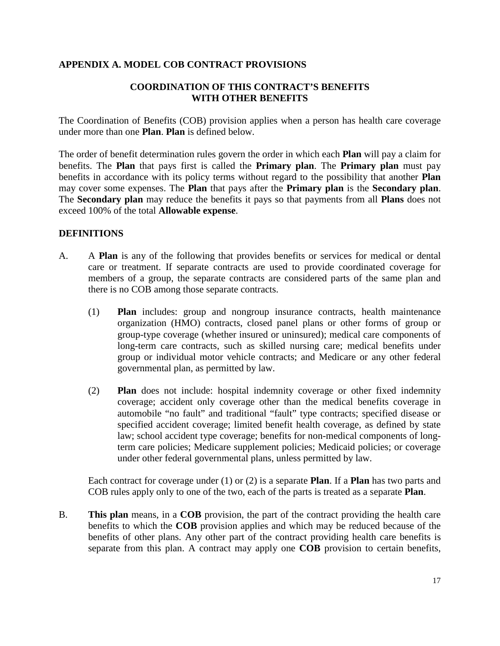# **APPENDIX A. MODEL COB CONTRACT PROVISIONS**

# **COORDINATION OF THIS CONTRACT'S BENEFITS WITH OTHER BENEFITS**

The Coordination of Benefits (COB) provision applies when a person has health care coverage under more than one **Plan**. **Plan** is defined below.

The order of benefit determination rules govern the order in which each **Plan** will pay a claim for benefits. The **Plan** that pays first is called the **Primary plan**. The **Primary plan** must pay benefits in accordance with its policy terms without regard to the possibility that another **Plan** may cover some expenses. The **Plan** that pays after the **Primary plan** is the **Secondary plan**. The **Secondary plan** may reduce the benefits it pays so that payments from all **Plans** does not exceed 100% of the total **Allowable expense**.

# **DEFINITIONS**

- A. A **Plan** is any of the following that provides benefits or services for medical or dental care or treatment. If separate contracts are used to provide coordinated coverage for members of a group, the separate contracts are considered parts of the same plan and there is no COB among those separate contracts.
	- (1) **Plan** includes: group and nongroup insurance contracts, health maintenance organization (HMO) contracts, closed panel plans or other forms of group or group-type coverage (whether insured or uninsured); medical care components of long-term care contracts, such as skilled nursing care; medical benefits under group or individual motor vehicle contracts; and Medicare or any other federal governmental plan, as permitted by law.
	- (2) **Plan** does not include: hospital indemnity coverage or other fixed indemnity coverage; accident only coverage other than the medical benefits coverage in automobile "no fault" and traditional "fault" type contracts; specified disease or specified accident coverage; limited benefit health coverage, as defined by state law; school accident type coverage; benefits for non-medical components of longterm care policies; Medicare supplement policies; Medicaid policies; or coverage under other federal governmental plans, unless permitted by law.

Each contract for coverage under (1) or (2) is a separate **Plan**. If a **Plan** has two parts and COB rules apply only to one of the two, each of the parts is treated as a separate **Plan**.

B. **This plan** means, in a **COB** provision, the part of the contract providing the health care benefits to which the **COB** provision applies and which may be reduced because of the benefits of other plans. Any other part of the contract providing health care benefits is separate from this plan. A contract may apply one **COB** provision to certain benefits,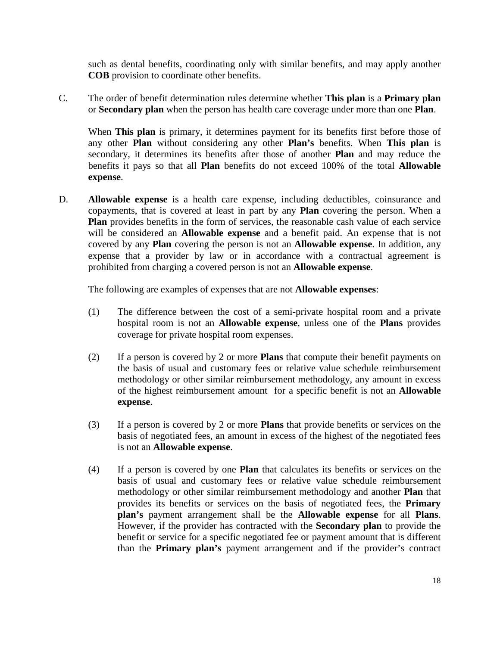such as dental benefits, coordinating only with similar benefits, and may apply another **COB** provision to coordinate other benefits.

C. The order of benefit determination rules determine whether **This plan** is a **Primary plan** or **Secondary plan** when the person has health care coverage under more than one **Plan**.

When **This plan** is primary, it determines payment for its benefits first before those of any other **Plan** without considering any other **Plan's** benefits. When **This plan** is secondary, it determines its benefits after those of another **Plan** and may reduce the benefits it pays so that all **Plan** benefits do not exceed 100% of the total **Allowable expense**.

D. **Allowable expense** is a health care expense, including deductibles, coinsurance and copayments, that is covered at least in part by any **Plan** covering the person. When a **Plan** provides benefits in the form of services, the reasonable cash value of each service will be considered an **Allowable expense** and a benefit paid. An expense that is not covered by any **Plan** covering the person is not an **Allowable expense**. In addition, any expense that a provider by law or in accordance with a contractual agreement is prohibited from charging a covered person is not an **Allowable expense**.

The following are examples of expenses that are not **Allowable expenses**:

- (1) The difference between the cost of a semi-private hospital room and a private hospital room is not an **Allowable expense**, unless one of the **Plans** provides coverage for private hospital room expenses.
- (2) If a person is covered by 2 or more **Plans** that compute their benefit payments on the basis of usual and customary fees or relative value schedule reimbursement methodology or other similar reimbursement methodology, any amount in excess of the highest reimbursement amount for a specific benefit is not an **Allowable expense**.
- (3) If a person is covered by 2 or more **Plans** that provide benefits or services on the basis of negotiated fees, an amount in excess of the highest of the negotiated fees is not an **Allowable expense**.
- (4) If a person is covered by one **Plan** that calculates its benefits or services on the basis of usual and customary fees or relative value schedule reimbursement methodology or other similar reimbursement methodology and another **Plan** that provides its benefits or services on the basis of negotiated fees, the **Primary plan's** payment arrangement shall be the **Allowable expense** for all **Plans**. However, if the provider has contracted with the **Secondary plan** to provide the benefit or service for a specific negotiated fee or payment amount that is different than the **Primary plan's** payment arrangement and if the provider's contract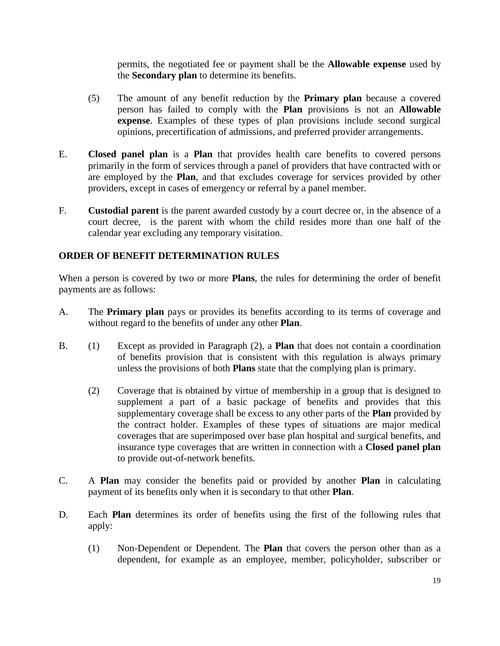permits, the negotiated fee or payment shall be the **Allowable expense** used by the **Secondary plan** to determine its benefits.

- (5) The amount of any benefit reduction by the **Primary plan** because a covered person has failed to comply with the **Plan** provisions is not an **Allowable expense**. Examples of these types of plan provisions include second surgical opinions, precertification of admissions, and preferred provider arrangements.
- E. **Closed panel plan** is a **Plan** that provides health care benefits to covered persons primarily in the form of services through a panel of providers that have contracted with or are employed by the **Plan**, and that excludes coverage for services provided by other providers, except in cases of emergency or referral by a panel member.
- F. **Custodial parent** is the parent awarded custody by a court decree or, in the absence of a court decree, is the parent with whom the child resides more than one half of the calendar year excluding any temporary visitation.

# **ORDER OF BENEFIT DETERMINATION RULES**

When a person is covered by two or more **Plans**, the rules for determining the order of benefit payments are as follows:

- A. The **Primary plan** pays or provides its benefits according to its terms of coverage and without regard to the benefits of under any other **Plan**.
- B. (1) Except as provided in Paragraph (2), a **Plan** that does not contain a coordination of benefits provision that is consistent with this regulation is always primary unless the provisions of both **Plans** state that the complying plan is primary.
	- (2) Coverage that is obtained by virtue of membership in a group that is designed to supplement a part of a basic package of benefits and provides that this supplementary coverage shall be excess to any other parts of the **Plan** provided by the contract holder. Examples of these types of situations are major medical coverages that are superimposed over base plan hospital and surgical benefits, and insurance type coverages that are written in connection with a **Closed panel plan** to provide out-of-network benefits.
- C. A **Plan** may consider the benefits paid or provided by another **Plan** in calculating payment of its benefits only when it is secondary to that other **Plan**.
- D. Each **Plan** determines its order of benefits using the first of the following rules that apply:
	- (1) Non-Dependent or Dependent. The **Plan** that covers the person other than as a dependent, for example as an employee, member, policyholder, subscriber or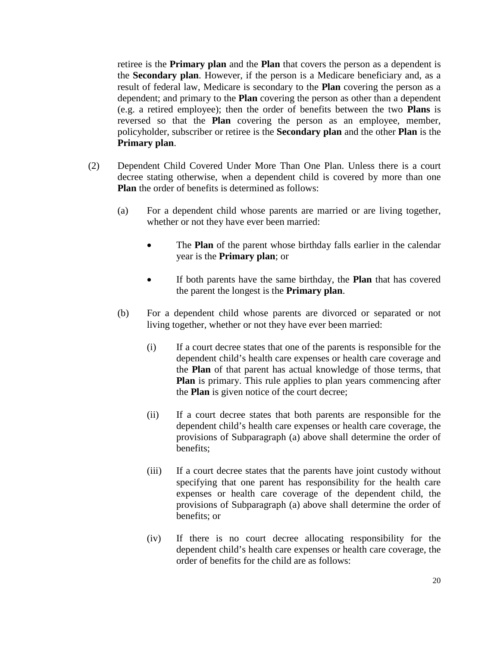retiree is the **Primary plan** and the **Plan** that covers the person as a dependent is the **Secondary plan**. However, if the person is a Medicare beneficiary and, as a result of federal law, Medicare is secondary to the **Plan** covering the person as a dependent; and primary to the **Plan** covering the person as other than a dependent (e.g. a retired employee); then the order of benefits between the two **Plans** is reversed so that the **Plan** covering the person as an employee, member, policyholder, subscriber or retiree is the **Secondary plan** and the other **Plan** is the **Primary plan**.

- (2) Dependent Child Covered Under More Than One Plan. Unless there is a court decree stating otherwise, when a dependent child is covered by more than one **Plan** the order of benefits is determined as follows:
	- (a) For a dependent child whose parents are married or are living together, whether or not they have ever been married:
		- The **Plan** of the parent whose birthday falls earlier in the calendar year is the **Primary plan**; or
		- If both parents have the same birthday, the **Plan** that has covered the parent the longest is the **Primary plan**.
	- (b) For a dependent child whose parents are divorced or separated or not living together, whether or not they have ever been married:
		- (i) If a court decree states that one of the parents is responsible for the dependent child's health care expenses or health care coverage and the **Plan** of that parent has actual knowledge of those terms, that **Plan** is primary. This rule applies to plan years commencing after the **Plan** is given notice of the court decree;
		- (ii) If a court decree states that both parents are responsible for the dependent child's health care expenses or health care coverage, the provisions of Subparagraph (a) above shall determine the order of benefits;
		- (iii) If a court decree states that the parents have joint custody without specifying that one parent has responsibility for the health care expenses or health care coverage of the dependent child, the provisions of Subparagraph (a) above shall determine the order of benefits; or
		- (iv) If there is no court decree allocating responsibility for the dependent child's health care expenses or health care coverage, the order of benefits for the child are as follows: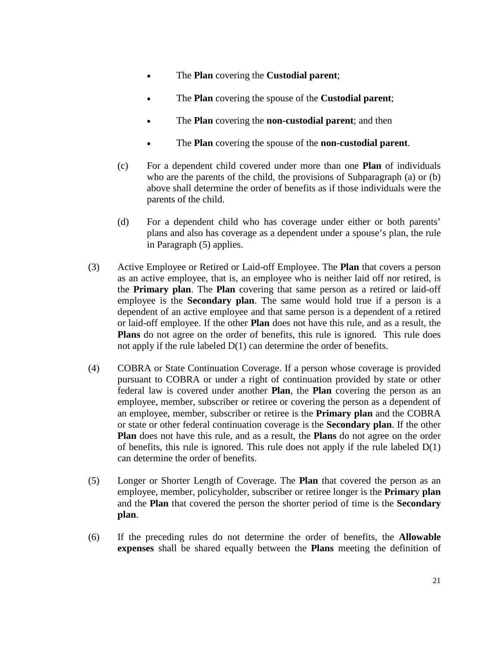- The **Plan** covering the **Custodial parent**;
- The **Plan** covering the spouse of the **Custodial parent**;
- The **Plan** covering the **non-custodial parent**; and then
- The **Plan** covering the spouse of the **non-custodial parent**.
- (c) For a dependent child covered under more than one **Plan** of individuals who are the parents of the child, the provisions of Subparagraph (a) or (b) above shall determine the order of benefits as if those individuals were the parents of the child.
- (d) For a dependent child who has coverage under either or both parents' plans and also has coverage as a dependent under a spouse's plan, the rule in Paragraph (5) applies.
- (3) Active Employee or Retired or Laid-off Employee. The **Plan** that covers a person as an active employee, that is, an employee who is neither laid off nor retired, is the **Primary plan**. The **Plan** covering that same person as a retired or laid-off employee is the **Secondary plan**. The same would hold true if a person is a dependent of an active employee and that same person is a dependent of a retired or laid-off employee. If the other **Plan** does not have this rule, and as a result, the **Plans** do not agree on the order of benefits, this rule is ignored. This rule does not apply if the rule labeled D(1) can determine the order of benefits.
- (4) COBRA or State Continuation Coverage. If a person whose coverage is provided pursuant to COBRA or under a right of continuation provided by state or other federal law is covered under another **Plan**, the **Plan** covering the person as an employee, member, subscriber or retiree or covering the person as a dependent of an employee, member, subscriber or retiree is the **Primary plan** and the COBRA or state or other federal continuation coverage is the **Secondary plan**. If the other **Plan** does not have this rule, and as a result, the **Plans** do not agree on the order of benefits, this rule is ignored. This rule does not apply if the rule labeled  $D(1)$ can determine the order of benefits.
- (5) Longer or Shorter Length of Coverage. The **Plan** that covered the person as an employee, member, policyholder, subscriber or retiree longer is the **Primar**y **plan** and the **Plan** that covered the person the shorter period of time is the **Secondary plan**.
- (6) If the preceding rules do not determine the order of benefits, the **Allowable expenses** shall be shared equally between the **Plans** meeting the definition of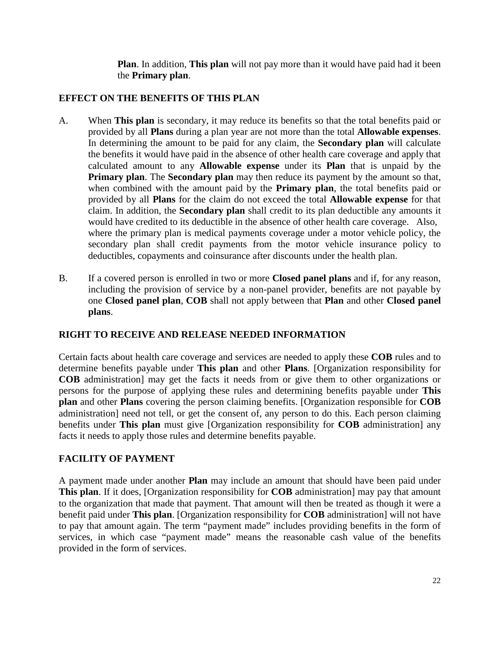**Plan**. In addition, **This plan** will not pay more than it would have paid had it been the **Primary plan**.

# **EFFECT ON THE BENEFITS OF THIS PLAN**

- A. When **This plan** is secondary, it may reduce its benefits so that the total benefits paid or provided by all **Plans** during a plan year are not more than the total **Allowable expenses**. In determining the amount to be paid for any claim, the **Secondary plan** will calculate the benefits it would have paid in the absence of other health care coverage and apply that calculated amount to any **Allowable expense** under its **Plan** that is unpaid by the **Primary plan**. The **Secondary plan** may then reduce its payment by the amount so that, when combined with the amount paid by the **Primary plan**, the total benefits paid or provided by all **Plans** for the claim do not exceed the total **Allowable expense** for that claim. In addition, the **Secondary plan** shall credit to its plan deductible any amounts it would have credited to its deductible in the absence of other health care coverage. Also, where the primary plan is medical payments coverage under a motor vehicle policy, the secondary plan shall credit payments from the motor vehicle insurance policy to deductibles, copayments and coinsurance after discounts under the health plan.
- B. If a covered person is enrolled in two or more **Closed panel plans** and if, for any reason, including the provision of service by a non-panel provider, benefits are not payable by one **Closed panel plan**, **COB** shall not apply between that **Plan** and other **Closed panel plans**.

# **RIGHT TO RECEIVE AND RELEASE NEEDED INFORMATION**

Certain facts about health care coverage and services are needed to apply these **COB** rules and to determine benefits payable under **This plan** and other **Plans**. [Organization responsibility for **COB** administration] may get the facts it needs from or give them to other organizations or persons for the purpose of applying these rules and determining benefits payable under **This plan** and other **Plans** covering the person claiming benefits. [Organization responsible for **COB** administration] need not tell, or get the consent of, any person to do this. Each person claiming benefits under **This plan** must give [Organization responsibility for **COB** administration] any facts it needs to apply those rules and determine benefits payable.

# **FACILITY OF PAYMENT**

A payment made under another **Plan** may include an amount that should have been paid under **This plan**. If it does, [Organization responsibility for **COB** administration] may pay that amount to the organization that made that payment. That amount will then be treated as though it were a benefit paid under **This plan**. [Organization responsibility for **COB** administration] will not have to pay that amount again. The term "payment made" includes providing benefits in the form of services, in which case "payment made" means the reasonable cash value of the benefits provided in the form of services.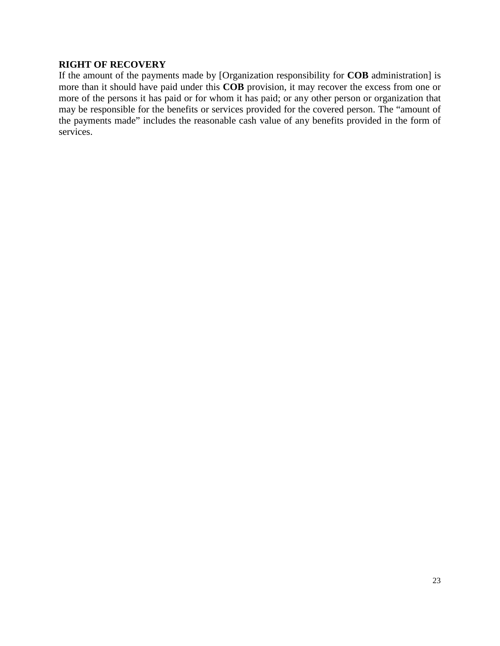#### **RIGHT OF RECOVERY**

If the amount of the payments made by [Organization responsibility for **COB** administration] is more than it should have paid under this **COB** provision, it may recover the excess from one or more of the persons it has paid or for whom it has paid; or any other person or organization that may be responsible for the benefits or services provided for the covered person. The "amount of the payments made" includes the reasonable cash value of any benefits provided in the form of services.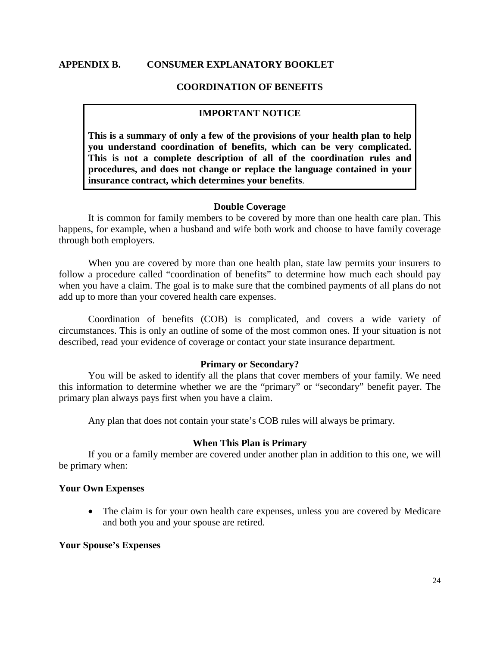#### **APPENDIX B. CONSUMER EXPLANATORY BOOKLET**

#### **COORDINATION OF BENEFITS**

#### **IMPORTANT NOTICE**

**This is a summary of only a few of the provisions of your health plan to help you understand coordination of benefits, which can be very complicated. This is not a complete description of all of the coordination rules and procedures, and does not change or replace the language contained in your insurance contract, which determines your benefits**.

#### **Double Coverage**

It is common for family members to be covered by more than one health care plan. This happens, for example, when a husband and wife both work and choose to have family coverage through both employers.

When you are covered by more than one health plan, state law permits your insurers to follow a procedure called "coordination of benefits" to determine how much each should pay when you have a claim. The goal is to make sure that the combined payments of all plans do not add up to more than your covered health care expenses.

Coordination of benefits (COB) is complicated, and covers a wide variety of circumstances. This is only an outline of some of the most common ones. If your situation is not described, read your evidence of coverage or contact your state insurance department.

#### **Primary or Secondary?**

You will be asked to identify all the plans that cover members of your family. We need this information to determine whether we are the "primary" or "secondary" benefit payer. The primary plan always pays first when you have a claim.

Any plan that does not contain your state's COB rules will always be primary.

#### **When This Plan is Primary**

If you or a family member are covered under another plan in addition to this one, we will be primary when:

#### **Your Own Expenses**

• The claim is for your own health care expenses, unless you are covered by Medicare and both you and your spouse are retired.

#### **Your Spouse's Expenses**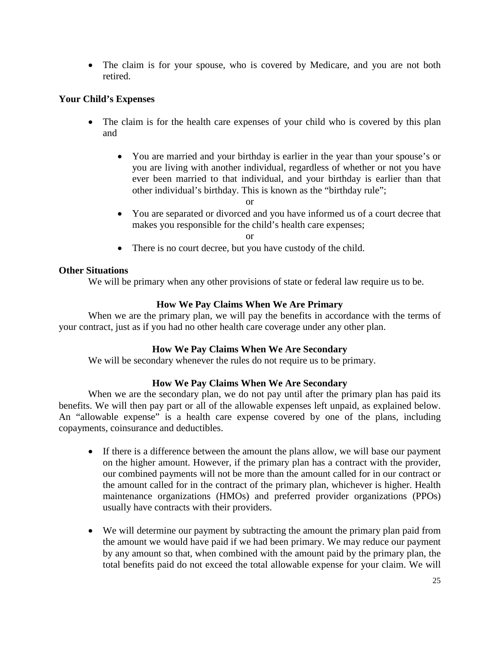• The claim is for your spouse, who is covered by Medicare, and you are not both retired.

## **Your Child's Expenses**

- The claim is for the health care expenses of your child who is covered by this plan and
	- You are married and your birthday is earlier in the year than your spouse's or you are living with another individual, regardless of whether or not you have ever been married to that individual, and your birthday is earlier than that other individual's birthday. This is known as the "birthday rule";
		- or
	- You are separated or divorced and you have informed us of a court decree that makes you responsible for the child's health care expenses;

or

• There is no court decree, but you have custody of the child.

# **Other Situations**

We will be primary when any other provisions of state or federal law require us to be.

# **How We Pay Claims When We Are Primary**

When we are the primary plan, we will pay the benefits in accordance with the terms of your contract, just as if you had no other health care coverage under any other plan.

## **How We Pay Claims When We Are Secondary**

We will be secondary whenever the rules do not require us to be primary.

# **How We Pay Claims When We Are Secondary**

When we are the secondary plan, we do not pay until after the primary plan has paid its benefits. We will then pay part or all of the allowable expenses left unpaid, as explained below. An "allowable expense" is a health care expense covered by one of the plans, including copayments, coinsurance and deductibles.

- If there is a difference between the amount the plans allow, we will base our payment on the higher amount. However, if the primary plan has a contract with the provider, our combined payments will not be more than the amount called for in our contract or the amount called for in the contract of the primary plan, whichever is higher. Health maintenance organizations (HMOs) and preferred provider organizations (PPOs) usually have contracts with their providers.
- We will determine our payment by subtracting the amount the primary plan paid from the amount we would have paid if we had been primary. We may reduce our payment by any amount so that, when combined with the amount paid by the primary plan, the total benefits paid do not exceed the total allowable expense for your claim. We will